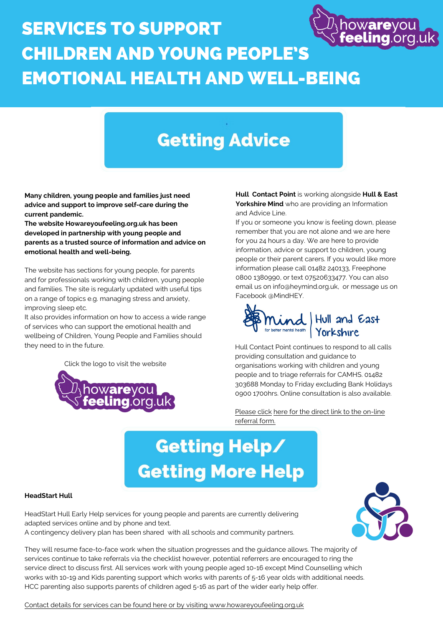### howareyou SERVICES TO SUPPORT CHILDREN AND YOUNG PEOPLE'S EMOTIONAL HEALTH AND WELL-BEING

## **Getting Advice**

**Hull Contact Point** is working alongside **Hull & East Yorkshire Mind** who are providing an Information and Advice Line.

If you or someone you know is feeling down, please remember that you are not alone and we are here for you 24 hours a day. We are here to provide information, advice or support to children, young people or their parent carers. If you would like more information please call 01482 240133, Freephone 0800 1380990, or text 07520633477. You can also email us on info@heymind.org.uk, or message us on Facebook @MindHEY.



Yorkshire

#### **HeadStart Hull**

HeadStart Hull Early Help services for young people and parents are currently delivering adapted services online and by phone and text.

A contingency delivery plan has been shared with all schools and community partners.

They will resume face-to-face work when the situation progresses and the guidance allows. The majority of services continue to take referrals via the checklist however, potential referrers are encouraged to ring the service direct to discuss first. All services work with young people aged 10-16 except Mind Counselling which works with 10-19 and Kids parenting support which works with parents of 5-16 year olds with additional needs. HCC parenting also supports parents of children aged 5-16 as part of the wider early help offer.

### Please click here for the direct link to the on-line referral form.

# Getting Help/ **Getting More Help**

[Contact details for services can be found here or by visiting www.howareyoufeeling.org.uk](https://www.howareyoufeeling.org.uk/professionals)



**Many children, young people and families just need advice and support to improve self-care during the current pandemic.** 

**The website Howareyoufeeling.org.uk has been developed in partnership with young people and parents as a trusted source of information and advice on emotional health and well-being.** 

The website has sections for young people, for parents and for professionals working with children, young people and families. The site is regularly updated with useful tips on a range of topics e.g. managing stress and anxiety, improving sleep etc.

It also provides information on how to access a wide range of services who can support the emotional health and wellbeing of Children, Young People and Families should they need to in the future.

[Click the logo to visit the website](www.howareyoufeeling.org.uk)



Hull Contact Point continues to respond to all calls providing consultation and guidance to organisations working with children and young people and to triage referrals for CAMHS. 01482 303688 Monday to Friday excluding Bank Holidays 0900 1700hrs. Online consultation is also available.